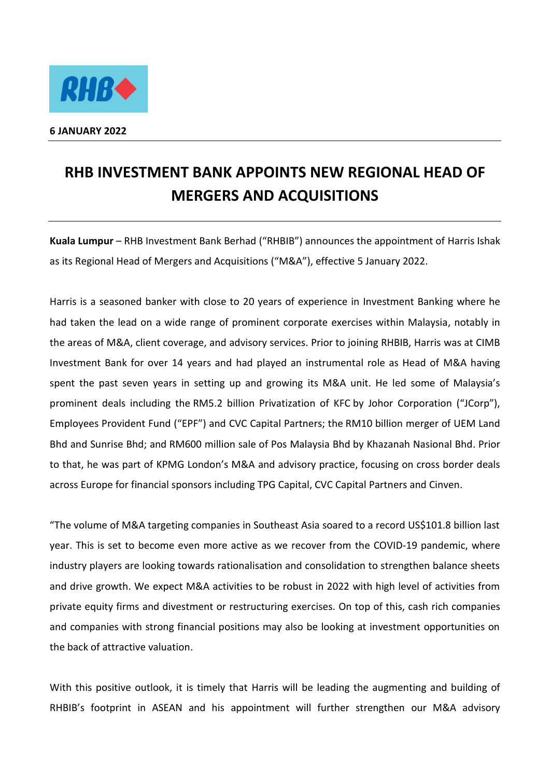

## **RHB INVESTMENT BANK APPOINTS NEW REGIONAL HEAD OF MERGERS AND ACQUISITIONS**

**Kuala Lumpur** – RHB Investment Bank Berhad ("RHBIB") announces the appointment of Harris Ishak as its Regional Head of Mergers and Acquisitions ("M&A"), effective 5 January 2022.

Harris is a seasoned banker with close to 20 years of experience in Investment Banking where he had taken the lead on a wide range of prominent corporate exercises within Malaysia, notably in the areas of M&A, client coverage, and advisory services. Prior to joining RHBIB, Harris was at CIMB Investment Bank for over 14 years and had played an instrumental role as Head of M&A having spent the past seven years in setting up and growing its M&A unit. He led some of Malaysia's prominent deals including the RM5.2 billion Privatization of KFC by Johor Corporation ("JCorp"), Employees Provident Fund ("EPF") and CVC Capital Partners; the RM10 billion merger of UEM Land Bhd and Sunrise Bhd; and RM600 million sale of Pos Malaysia Bhd by Khazanah Nasional Bhd. Prior to that, he was part of KPMG London's M&A and advisory practice, focusing on cross border deals across Europe for financial sponsors including TPG Capital, CVC Capital Partners and Cinven.

"The volume of M&A targeting companies in Southeast Asia soared to a record US\$101.8 billion last year. This is set to become even more active as we recover from the COVID-19 pandemic, where industry players are looking towards rationalisation and consolidation to strengthen balance sheets and drive growth. We expect M&A activities to be robust in 2022 with high level of activities from private equity firms and divestment or restructuring exercises. On top of this, cash rich companies and companies with strong financial positions may also be looking at investment opportunities on the back of attractive valuation.

With this positive outlook, it is timely that Harris will be leading the augmenting and building of RHBIB's footprint in ASEAN and his appointment will further strengthen our M&A advisory